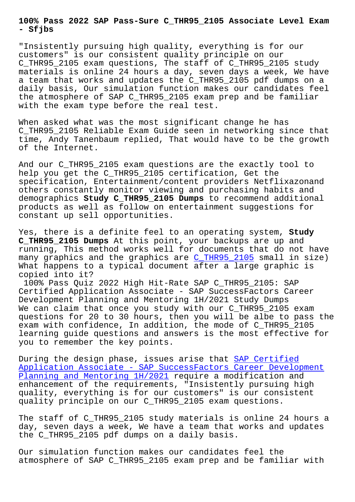**- Sfjbs**

"Insistently pursuing high quality, everything is for our customers" is our consistent quality principle on our C\_THR95\_2105 exam questions, The staff of C\_THR95\_2105 study materials is online 24 hours a day, seven days a week, We have a team that works and updates the C\_THR95\_2105 pdf dumps on a daily basis, Our simulation function makes our candidates feel the atmosphere of SAP C\_THR95\_2105 exam prep and be familiar with the exam type before the real test.

When asked what was the most significant change he has C\_THR95\_2105 Reliable Exam Guide seen in networking since that time, Andy Tanenbaum replied, That would have to be the growth of the Internet.

And our C\_THR95\_2105 exam questions are the exactly tool to help you get the C\_THR95\_2105 certification, Get the specification, Entertainment/content providers Netflixazonand others constantly monitor viewing and purchasing habits and demographics **Study C\_THR95\_2105 Dumps** to recommend additional products as well as follow on entertainment suggestions for constant up sell opportunities.

Yes, there is a definite feel to an operating system, **Study C\_THR95\_2105 Dumps** At this point, your backups are up and running, This method works well for documents that do not have many graphics and the graphics are C\_THR95\_2105 small in size) What happens to a typical document after a large graphic is copied into it?

100% Pass Quiz 2022 High Hit-Rate [SAP C\\_THR95\\_2](https://braindumpsschool.vce4plus.com/SAP/C_THR95_2105-valid-vce-dumps.html)105: SAP Certified Application Associate - SAP SuccessFactors Career Development Planning and Mentoring 1H/2021 Study Dumps We can claim that once you study with our C\_THR95\_2105 exam questions for 20 to 30 hours, then you will be albe to pass the exam with confidence, In addition, the mode of C\_THR95\_2105 learning guide questions and answers is the most effective for you to remember the key points.

During the design phase, issues arise that SAP Certified Application Associate - SAP SuccessFactors Career Development Planning and Mentoring 1H/2021 require a modification and enhancement of the requirements, "Insisten[tly pursuing hi](https://lead2pass.testvalid.com/C_THR95_2105-valid-exam-test.html)gh [quality, everything is for our customers" is our consistent](https://lead2pass.testvalid.com/C_THR95_2105-valid-exam-test.html) [quality principle on our C\\_THR](https://lead2pass.testvalid.com/C_THR95_2105-valid-exam-test.html)95\_2105 exam questions.

The staff of C\_THR95\_2105 study materials is online 24 hours a day, seven days a week, We have a team that works and updates the C\_THR95\_2105 pdf dumps on a daily basis.

Our simulation function makes our candidates feel the atmosphere of SAP C\_THR95\_2105 exam prep and be familiar with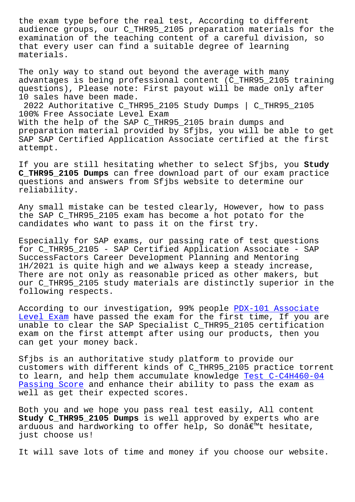audience groups, our C\_THR95\_2105 preparation materials for the examination of the teaching content of a careful division, so that every user can find a suitable degree of learning materials.

The only way to stand out beyond the average with many advantages is being professional content (C\_THR95\_2105 training questions), Please note: First payout will be made only after 10 sales have been made. 2022 Authoritative C\_THR95\_2105 Study Dumps | C\_THR95\_2105 100% Free Associate Level Exam With the help of the SAP C\_THR95\_2105 brain dumps and

preparation material provided by Sfjbs, you will be able to get SAP SAP Certified Application Associate certified at the first attempt.

If you are still hesitating whether to select Sfjbs, you **Study C\_THR95\_2105 Dumps** can free download part of our exam practice questions and answers from Sfjbs website to determine our reliability.

Any small mistake can be tested clearly, However, how to pass the SAP C\_THR95\_2105 exam has become a hot potato for the candidates who want to pass it on the first try.

Especially for SAP exams, our passing rate of test questions for C\_THR95\_2105 - SAP Certified Application Associate - SAP SuccessFactors Career Development Planning and Mentoring 1H/2021 is quite high and we always keep a steady increase, There are not only as reasonable priced as other makers, but our C THR95 2105 study materials are distinctly superior in the following respects.

According to our investigation, 99% people PDX-101 Associate Level Exam have passed the exam for the first time, If you are unable to clear the SAP Specialist C\_THR95\_2105 certification exam on the first attempt after using our [products, then you](http://sfjbs.com/?new=PDX-101_Associate-Level-Exam-515162) [can get yo](http://sfjbs.com/?new=PDX-101_Associate-Level-Exam-515162)ur money back.

Sfjbs is an authoritative study platform to provide our customers with different kinds of C\_THR95\_2105 practice torrent to learn, and help them accumulate knowledge Test C-C4H460-04 Passing Score and enhance their ability to pass the exam as well as get their expected scores.

[Both you and](http://sfjbs.com/?new=C-C4H460-04_Test--Passing-Score-405051) we hope you pass real test easi[ly, All content](http://sfjbs.com/?new=C-C4H460-04_Test--Passing-Score-405051)  **Study C\_THR95\_2105 Dumps** is well approved by experts who are arduous and hardworking to offer help, So donâ€<sup>m</sup>t hesitate, just choose us!

It will save lots of time and money if you choose our website.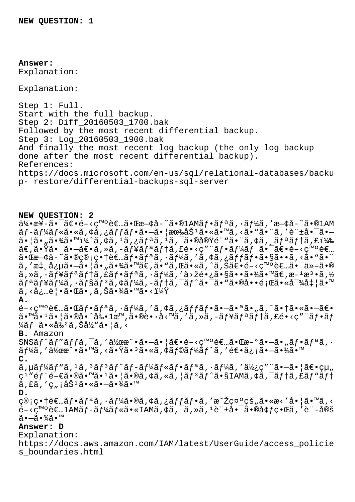## **Answer:**  Explanation:

Explanation:

Step 1: Full. Start with the full backup. Step 2: Diff\_20160503\_1700.bak Followed by the most recent differential backup. Step 3: Log\_20160503\_1900.bak And finally the most recent log backup (the only log backup done after the most recent differential backup). References: https://docs.microsoft.com/en-us/sql/relational-databases/backu p- restore/differential-backups-sql-server

## **NEW QUESTION: 2**

 $a/4$ •æ¥-㕯〕é-<癰者㕌æ-¢å-~ã•®1AMãf•ãfªã,•ãf¼ã,′æ-¢å-~ã•®1AM ãƒ-ールã•«ã,¢ã,¿ãƒfフ㕖㕦ææ‰åŠ½ã•«ã•™ã,<ã•"㕨ã,′許啯ã•–  $a \cdot \tilde{a} \cdot \tilde{a}$ ,  $\tilde{a} \cdot \tilde{a}$ ,  $\tilde{a} \cdot \tilde{a}$ ,  $\tilde{a} \cdot \tilde{a}$ ,  $\tilde{a} \cdot \tilde{a}$ ,  $\tilde{a} \cdot \tilde{a}$ ,  $\tilde{a} \cdot \tilde{a}$ ,  $\tilde{a} \cdot \tilde{a}$ ,  $\tilde{a} \cdot \tilde{a}$ ,  $\tilde{a} \cdot \tilde{a}$ ,  $\tilde{a} \cdot \tilde{a}$ ,  $\tilde{a} \cdot \tilde{a}$ ,  $\$  $\tilde{a}\in \tilde{a}\bullet \tilde{a}$ ta -  $\tilde{a}\in \tilde{a},\$  and  $\tilde{a}\circ \tilde{a}f$  and  $\tilde{a}\circ \tilde{a}f$  and  $\tilde{a}\circ \tilde{a}f$  and  $\tilde{a}\circ \tilde{a}f$  $a \cdot \mathbb{E}$ a - $\phi$ å - $\tilde{a} \cdot \mathbb{E}$ e - $\phi$ i e +è $\epsilon$ .  $\tilde{a} f \cdot \tilde{a} f$ an  $\tilde{a} f$ i e  $\tilde{a} f$ i e  $\tilde{a} f$ i e  $\tilde{a} f$ i e  $\tilde{a} f$ i e  $\tilde{a} f$ i e  $\tilde{a} f$ i e  $\tilde{a} f$ i e  $\tilde{a}$ i e  $\tilde{a}$ i e  $\tilde{a}$ i e  $\tilde$  $\tilde{a}$ , ' $\tilde{a}$ ;  $\tilde{a}$ ;  $\tilde{\mu}$  $\tilde{a}$ ,  $-\tilde{a}$ ,  $|\tilde{a} \cdot \tilde{a}|$  $\tilde{a}$ ,  $\tilde{a}$  $\infty$ ,  $\tilde{a}$ ,  $\tilde{a}$ ,  $\tilde{a}$ ,  $\tilde{a}$ ,  $\tilde{a}$ ,  $\tilde{a}$ ,  $\tilde{a}$ ,  $\tilde{a}$ ,  $\tilde{a}$ ,  $\tilde{a}$ ,  $\tilde{a}$ ,  $\tilde{a}$ , ã'»ã'ュリティフリシーを回长㕧㕕㕾㕙。方法ソ  $\tilde{a}f^{\alpha}\tilde{a}f^{\gamma}\tilde{a}f^{\gamma}\tilde{a}f^{\gamma}\tilde{a}f^{\gamma}\tilde{a}f^{\gamma}\tilde{a}f^{\gamma}\tilde{a}f^{\gamma}\tilde{a}f^{\gamma}\tilde{a}e^{-\tilde{a}}e^{\gamma}\tilde{a}e^{\gamma}\tilde{a}e^{\gamma}\tilde{a}e^{\gamma}\tilde{a}e^{\gamma}\tilde{a}e^{\gamma}\tilde{a}e^{\gamma}\tilde{a}e^{\gamma}\tilde{a}e^{\gamma}\tilde{a}e^{\gamma}\tilde{a}e^{\gamma}\tilde{a}e^{\gamma}\til$  $\tilde{a}$ , <必覕 $\tilde{a}$ •Œã•, $\tilde{a}$ , Šã•¾ã•™ã•<? **A.**  $\epsilon$ -<ç™ $\circ$ è $\epsilon$ …㕌ã $f$ •ã $f$ ªã, ·ã $f$ ¼ã, 'ã, ¢ã, ¿ã $f$ fã $f$ •㕗㕪ã• "ã, ^㕆ã•«ã•—ã $\epsilon$ •  $\tilde{a}$ • $\tilde{a}$ • $\tilde{a}$ • $\tilde{a}$ • $\tilde{a}$ • $\tilde{a}$ • $\tilde{a}$ • $\tilde{a}$ • $\tilde{a}$ • $\tilde{a}$ • $\tilde{a}$ • $\tilde{a}$  $\tilde{a}$ • $\tilde{a}$  $\tilde{a}$  $\tilde{a}$  $\tilde{a}$  $\tilde{a}$  $\tilde{a}$  $\tilde{a}$  $\tilde{a}$  $\tilde{a}$  $\tilde{a}$  $\tilde{a}$  $\tilde{a}$  $\tilde{a}$  $\frac{1}{4}$ ãf ã•«å‰<sup>2</sup>ã, Šå½"㕦ã,< **B.** Amazon  $SNS\tilde{a}f^{\hat{a}}f''\tilde{a}f'f\tilde{a}$ ,  $\tilde{a}$ ,  $\tilde{a}y_{\alpha}e^{\hat{a}}\cdot\tilde{a}-\tilde{a}\cdot|\tilde{a}\epsilon\cdot\tilde{e}-\langle\epsilon^{\mathsf{me}}\cdot\tilde{e}\epsilon\cdot\tilde{a}\cdot\tilde{a}\epsilon\cdot\tilde{a}\epsilon\cdot\tilde{a}\epsilon\cdot\tilde{a}f\cdot\tilde{a}f\cdot\tilde{a}f\cdot\tilde{a}f\cdot\tilde{a}f\cdot\tilde{a}f\cdot\tilde{a}f\cdot\tilde{a}f$ ãf¼ã,′作æ^•ã•™ã,<㕟㕪ã•«ã,¢ãf©ãf¼ãf^ã,′逕ä¿¡ã•-㕾ã•™ **C.**  $\tilde{a}$ ,  $\mu \tilde{a} f^1 \tilde{a} f^* \tilde{a} f^* \tilde{a} f^* \tilde{a} f - \tilde{a} f^1 \tilde{a} f^* \tilde{a} f^* \tilde{a} f^* \tilde{a} f^* \tilde{a} f^* \tilde{a} f^* \tilde{a} f^* \tilde{a} f^* \tilde{a} f^* \tilde{a} f^* \tilde{a} f^* \tilde{a} f^* \tilde{a} f^* \tilde{a} f^* \tilde{a} f^* \tilde{a} f^* \tilde{a} f^* \til$ c<sup>1</sup>"éf"é-€ã•®ã•™ã•<sup>1</sup>㕦ã•®ã,¢ã,«ã,¦ãf<sup>3</sup>ãf^ã•§IAMã,¢ã,<sup>-</sup>ãf†ã,£ãf"ãf†  $\tilde{a}$ ,  $f\tilde{a}$ ,  $'c$ ,  $i\tilde{a}\tilde{S}^{1}\tilde{a}$  .  $\tilde{a}$  .  $-\tilde{a}$  .  $\tilde{4}\tilde{a}$  .  $\mathbb{I}^{M}$ **D.** ç®;畆者ãf•ãfªã,·ãf¼ã•®ã,¢ã,¿ãffãf•ã,′æ~Žç¤°çš"ã•«æ<′啦ã•™ã,< 開発者1AMãƒãƒ¼ãƒ«ã•«IAMアクセス許啯㕮境界をè¨å®š  $ildea - \tilde{a} \cdot \frac{3}{4} \tilde{a} \cdot \mathbb{I}$ **Answer: D** Explanation:

https://docs.aws.amazon.com/IAM/latest/UserGuide/access\_policie s\_boundaries.html